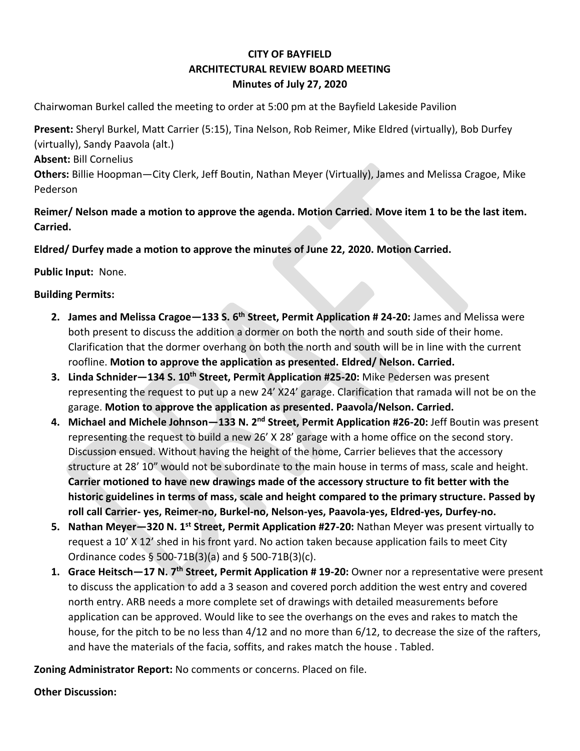## **CITY OF BAYFIELD ARCHITECTURAL REVIEW BOARD MEETING Minutes of July 27, 2020**

Chairwoman Burkel called the meeting to order at 5:00 pm at the Bayfield Lakeside Pavilion

**Present:** Sheryl Burkel, Matt Carrier (5:15), Tina Nelson, Rob Reimer, Mike Eldred (virtually), Bob Durfey (virtually), Sandy Paavola (alt.)

**Absent:** Bill Cornelius

**Others:** Billie Hoopman—City Clerk, Jeff Boutin, Nathan Meyer (Virtually), James and Melissa Cragoe, Mike Pederson

**Reimer/ Nelson made a motion to approve the agenda. Motion Carried. Move item 1 to be the last item. Carried.** 

**Eldred/ Durfey made a motion to approve the minutes of June 22, 2020. Motion Carried.** 

**Public Input:** None.

## **Building Permits:**

- **2. James and Melissa Cragoe—133 S. 6th Street, Permit Application # 24-20:** James and Melissa were both present to discuss the addition a dormer on both the north and south side of their home. Clarification that the dormer overhang on both the north and south will be in line with the current roofline. **Motion to approve the application as presented. Eldred/ Nelson. Carried.**
- **3. Linda Schnider—134 S. 10th Street, Permit Application #25-20:** Mike Pedersen was present representing the request to put up a new 24' X24' garage. Clarification that ramada will not be on the garage. **Motion to approve the application as presented. Paavola/Nelson. Carried.**
- **4. Michael and Michele Johnson—133 N. 2nd Street, Permit Application #26-20:** Jeff Boutin was present representing the request to build a new 26' X 28' garage with a home office on the second story. Discussion ensued. Without having the height of the home, Carrier believes that the accessory structure at 28' 10" would not be subordinate to the main house in terms of mass, scale and height. **Carrier motioned to have new drawings made of the accessory structure to fit better with the historic guidelines in terms of mass, scale and height compared to the primary structure. Passed by roll call Carrier- yes, Reimer-no, Burkel-no, Nelson-yes, Paavola-yes, Eldred-yes, Durfey-no.**
- **5. Nathan Meyer—320 N. 1st Street, Permit Application #27-20:** Nathan Meyer was present virtually to request a 10' X 12' shed in his front yard. No action taken because application fails to meet City Ordinance codes § 500-71B(3)(a) and § 500-71B(3)(c).
- **1. Grace Heitsch—17 N. 7th Street, Permit Application # 19-20:** Owner nor a representative were present to discuss the application to add a 3 season and covered porch addition the west entry and covered north entry. ARB needs a more complete set of drawings with detailed measurements before application can be approved. Would like to see the overhangs on the eves and rakes to match the house, for the pitch to be no less than 4/12 and no more than 6/12, to decrease the size of the rafters, and have the materials of the facia, soffits, and rakes match the house . Tabled.

**Zoning Administrator Report:** No comments or concerns. Placed on file.

**Other Discussion:**